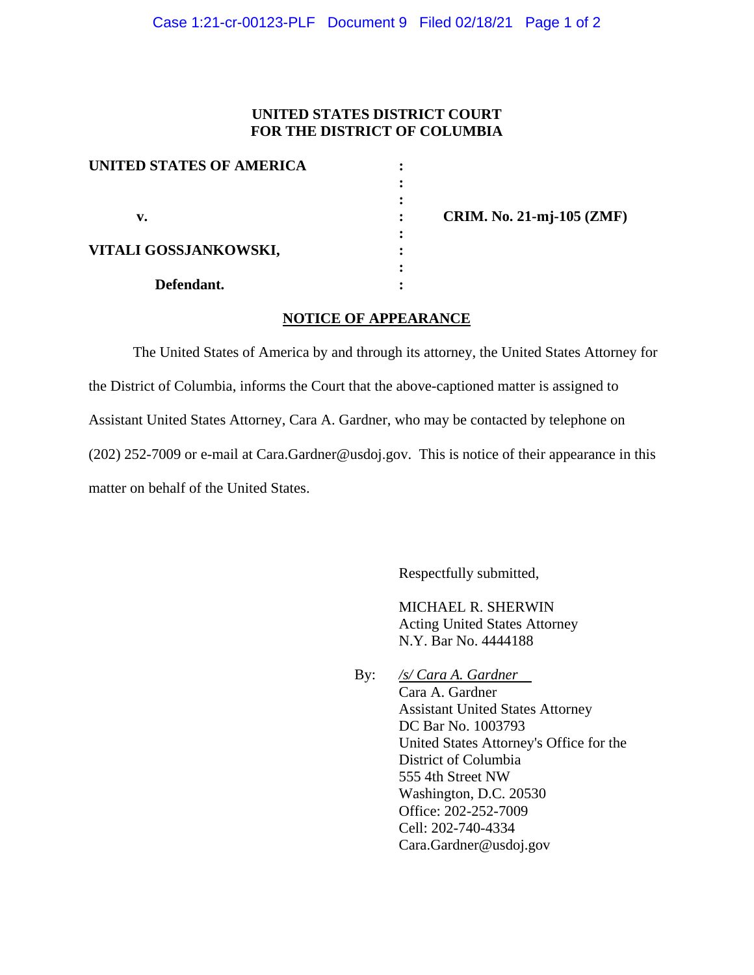## **UNITED STATES DISTRICT COURT FOR THE DISTRICT OF COLUMBIA**

| UNITED STATES OF AMERICA |  |
|--------------------------|--|
|                          |  |
|                          |  |
| v.                       |  |
| VITALI GOSSJANKOWSKI,    |  |
| Defendant.               |  |

 **v. : CRIM. No. 21-mj-105 (ZMF)**

## **NOTICE OF APPEARANCE**

The United States of America by and through its attorney, the United States Attorney for the District of Columbia, informs the Court that the above-captioned matter is assigned to Assistant United States Attorney, Cara A. Gardner, who may be contacted by telephone on (202) 252-7009 or e-mail at Cara.Gardner@usdoj.gov. This is notice of their appearance in this matter on behalf of the United States.

Respectfully submitted,

MICHAEL R. SHERWIN Acting United States Attorney N.Y. Bar No. 4444188

By: */s/ Cara A. Gardner* Cara A. Gardner Assistant United States Attorney DC Bar No. 1003793 United States Attorney's Office for the District of Columbia 555 4th Street NW Washington, D.C. 20530 Office: 202-252-7009 Cell: 202-740-4334 Cara.Gardner@usdoj.gov